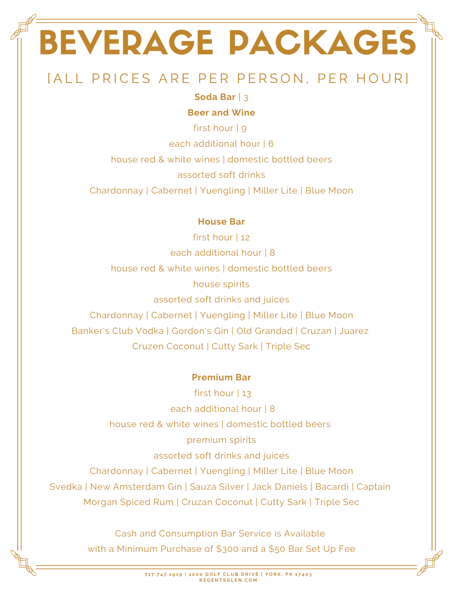# BEVERAGE PACKAGES

# [ALL PRICES ARE PER PERSON, PER HOUR]

### **Soda Bar** | 3

#### **Beer and Wine**

first hour | 9 each additional hour | 6 house red & white wines | domestic bottled beers assorted soft drinks Chardonnay | Cabernet | Yuengling | Miller Lite | Blue Moon

### **House Bar**

first hour | 12 each additional hour | 8 house red & white wines | domestic bottled beers house spirits assorted soft drinks and juices Chardonnay | Cabernet | Yuengling | Miller Lite | Blue Moon Banker's Club Vodka | Gordon's Gin | Old Grandad | Cruzan | Juarez Cruzen Coconut | Cutty Sark | Triple Sec

### **Premium Bar**

first hour | 13 each additional hour | 8 house red & white wines | domestic bottled beers premium spirits assorted soft drinks and juices Chardonnay | Cabernet | Yuengling | Miller Lite | Blue Moon Svedka | New Amsterdam Gin | Sauza Silver | Jack Daniels | Bacardi | Captain Morgan Spiced Rum | Cruzan Coconut | Cutty Sark | Triple Sec

> Cash and Consumption Bar Service is Available with a Minimum Purchase of \$300 and a \$50 Bar Set Up Fee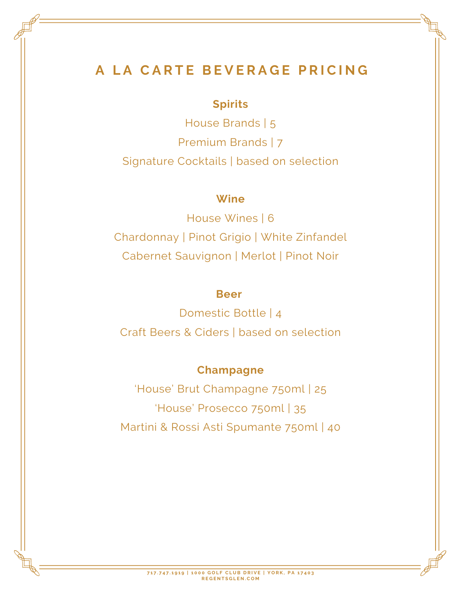## **A L A C A R T E B E V E R A G E P R I C I N G**

## **Spirits**

House Brands | 5 Premium Brands | 7 Signature Cocktails | based on selection

## **Wine**

House Wines | 6 Chardonnay | Pinot Grigio | White Zinfandel Cabernet Sauvignon | Merlot | Pinot Noir

## **Beer**

Domestic Bottle | 4 Craft Beers & Ciders | based on selection

## **Champagne**

'House' Brut Champagne 750ml | 25 'House' Prosecco 750ml | 35 Martini & Rossi Asti Spumante 750ml | 40